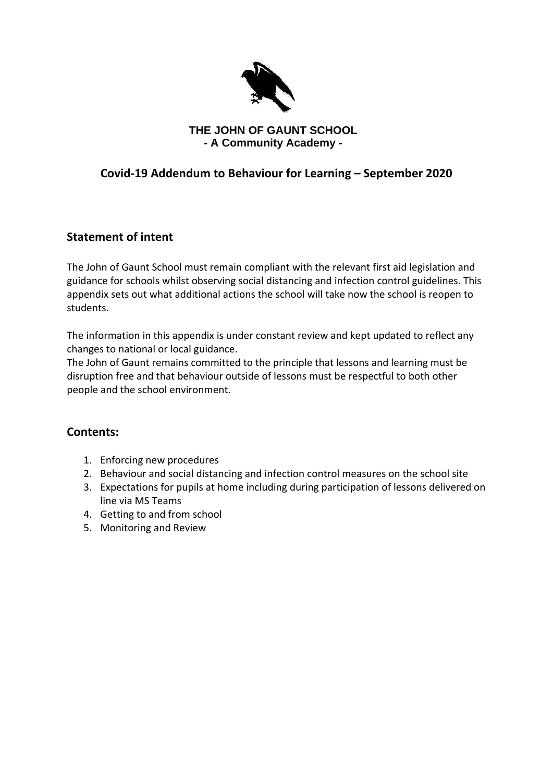

## **THE JOHN OF GAUNT SCHOOL - A Community Academy -**

# **Covid-19 Addendum to Behaviour for Learning – September 2020**

## **Statement of intent**

The John of Gaunt School must remain compliant with the relevant first aid legislation and guidance for schools whilst observing social distancing and infection control guidelines. This appendix sets out what additional actions the school will take now the school is reopen to students.

The information in this appendix is under constant review and kept updated to reflect any changes to national or local guidance.

The John of Gaunt remains committed to the principle that lessons and learning must be disruption free and that behaviour outside of lessons must be respectful to both other people and the school environment.

## **Contents:**

- 1. Enforcing new procedures
- 2. Behaviour and social distancing and infection control measures on the school site
- 3. Expectations for pupils at home including during participation of lessons delivered on line via MS Teams
- 4. Getting to and from school
- 5. Monitoring and Review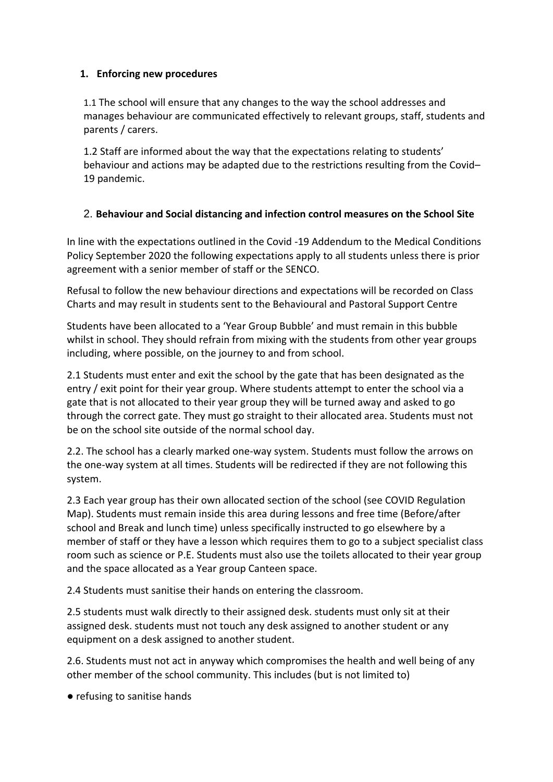#### **1. Enforcing new procedures**

1.1 The school will ensure that any changes to the way the school addresses and manages behaviour are communicated effectively to relevant groups, staff, students and parents / carers.

1.2 Staff are informed about the way that the expectations relating to students' behaviour and actions may be adapted due to the restrictions resulting from the Covid– 19 pandemic.

### 2. **Behaviour and Social distancing and infection control measures on the School Site**

In line with the expectations outlined in the Covid -19 Addendum to the Medical Conditions Policy September 2020 the following expectations apply to all students unless there is prior agreement with a senior member of staff or the SENCO.

Refusal to follow the new behaviour directions and expectations will be recorded on Class Charts and may result in students sent to the Behavioural and Pastoral Support Centre

Students have been allocated to a 'Year Group Bubble' and must remain in this bubble whilst in school. They should refrain from mixing with the students from other year groups including, where possible, on the journey to and from school.

2.1 Students must enter and exit the school by the gate that has been designated as the entry / exit point for their year group. Where students attempt to enter the school via a gate that is not allocated to their year group they will be turned away and asked to go through the correct gate. They must go straight to their allocated area. Students must not be on the school site outside of the normal school day.

2.2. The school has a clearly marked one-way system. Students must follow the arrows on the one-way system at all times. Students will be redirected if they are not following this system.

2.3 Each year group has their own allocated section of the school (see COVID Regulation Map). Students must remain inside this area during lessons and free time (Before/after school and Break and lunch time) unless specifically instructed to go elsewhere by a member of staff or they have a lesson which requires them to go to a subject specialist class room such as science or P.E. Students must also use the toilets allocated to their year group and the space allocated as a Year group Canteen space.

2.4 Students must sanitise their hands on entering the classroom.

2.5 students must walk directly to their assigned desk. students must only sit at their assigned desk. students must not touch any desk assigned to another student or any equipment on a desk assigned to another student.

2.6. Students must not act in anyway which compromises the health and well being of any other member of the school community. This includes (but is not limited to)

● refusing to sanitise hands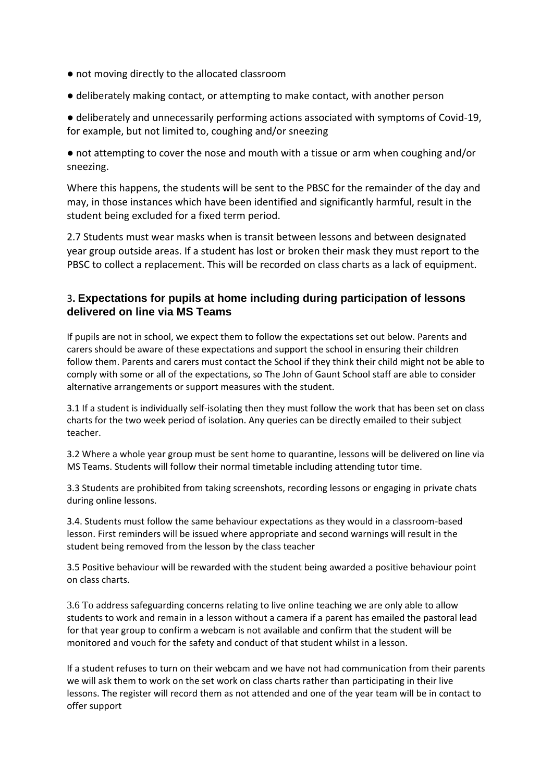- not moving directly to the allocated classroom
- deliberately making contact, or attempting to make contact, with another person

● deliberately and unnecessarily performing actions associated with symptoms of Covid-19, for example, but not limited to, coughing and/or sneezing

● not attempting to cover the nose and mouth with a tissue or arm when coughing and/or sneezing.

Where this happens, the students will be sent to the PBSC for the remainder of the day and may, in those instances which have been identified and significantly harmful, result in the student being excluded for a fixed term period.

2.7 Students must wear masks when is transit between lessons and between designated year group outside areas. If a student has lost or broken their mask they must report to the PBSC to collect a replacement. This will be recorded on class charts as a lack of equipment.

#### 3**. Expectations for pupils at home including during participation of lessons delivered on line via MS Teams**

If pupils are not in school, we expect them to follow the expectations set out below. Parents and carers should be aware of these expectations and support the school in ensuring their children follow them. Parents and carers must contact the School if they think their child might not be able to comply with some or all of the expectations, so The John of Gaunt School staff are able to consider alternative arrangements or support measures with the student.

3.1 If a student is individually self-isolating then they must follow the work that has been set on class charts for the two week period of isolation. Any queries can be directly emailed to their subject teacher.

3.2 Where a whole year group must be sent home to quarantine, lessons will be delivered on line via MS Teams. Students will follow their normal timetable including attending tutor time.

3.3 Students are prohibited from taking screenshots, recording lessons or engaging in private chats during online lessons.

3.4. Students must follow the same behaviour expectations as they would in a classroom-based lesson. First reminders will be issued where appropriate and second warnings will result in the student being removed from the lesson by the class teacher

3.5 Positive behaviour will be rewarded with the student being awarded a positive behaviour point on class charts.

3.6 To address safeguarding concerns relating to live online teaching we are only able to allow students to work and remain in a lesson without a camera if a parent has emailed the pastoral lead for that year group to confirm a webcam is not available and confirm that the student will be monitored and vouch for the safety and conduct of that student whilst in a lesson.

If a student refuses to turn on their webcam and we have not had communication from their parents we will ask them to work on the set work on class charts rather than participating in their live lessons. The register will record them as not attended and one of the year team will be in contact to offer support